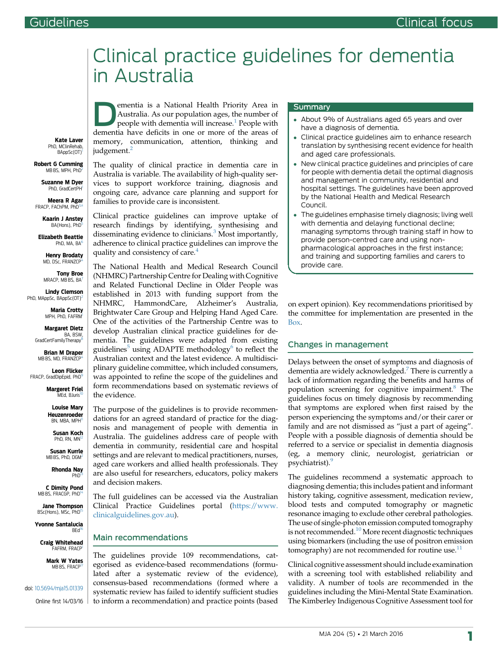# Clinical practice guidelines for dementia in Australia

Australia. As our population ages, the number of people with dementia will increase.<sup>[1](#page-3-0)</sup> People with dementia have deficits in one or more of the areas of memory, communication, attention, thinking and judgement.<sup>[2](#page-3-0)</sup>

The quality of clinical practice in dementia care in Australia is variable. The availability of high-quality services to support workforce training, diagnosis and ongoing care, advance care planning and support for families to provide care is inconsistent.

ementia is a National Health Priority Area in

Clinical practice guidelines can improve uptake of research findings by identifying, synthesising and disseminating evidence to clinicians.<sup>[3](#page-3-0)</sup> Most importantly, adherence to clinical practice guidelines can improve the quality and consistency of care.<sup>[4](#page-3-0)</sup>

The National Health and Medical Research Council (NHMRC) Partnership Centre for Dealing with Cognitive and Related Functional Decline in Older People was established in 2013 with funding support from the NHMRC, HammondCare, Alzheimer's Australia, Brightwater Care Group and Helping Hand Aged Care. One of the activities of the Partnership Centre was to develop Australian clinical practice guidelines for dementia. The guidelines were adapted from existing guidelines<sup>[5](#page-3-0)</sup> using ADAPTE methodology<sup>[6](#page-3-0)</sup> to reflect the Australian context and the latest evidence. A multidisciplinary guideline committee, which included consumers, was appointed to refine the scope of the guidelines and form recommendations based on systematic reviews of the evidence.

The purpose of the guidelines is to provide recommendations for an agreed standard of practice for the diagnosis and management of people with dementia in Australia. The guidelines address care of people with dementia in community, residential care and hospital settings and are relevant to medical practitioners, nurses, aged care workers and allied health professionals. They are also useful for researchers, educators, policy makers and decision makers.

The full guidelines can be accessed via the Australian Clinical Practice Guidelines portal ([https://www.](https://www.clinicalguidelines.gov.au) [clinicalguidelines.gov.au\)](https://www.clinicalguidelines.gov.au).

#### Main recommendations

The guidelines provide 109 recommendations, categorised as evidence-based recommendations (formulated after a systematic review of the evidence), consensus-based recommendations (formed where a systematic review has failed to identify sufficient studies to inform a recommendation) and practice points (based

#### Summary

- About 9% of Australians aged 65 years and over have a diagnosis of dementia.
- Clinical practice guidelines aim to enhance research translation by synthesising recent evidence for health and aged care professionals.
- New clinical practice guidelines and principles of care for people with dementia detail the optimal diagnosis and management in community, residential and hospital settings. The guidelines have been approved by the National Health and Medical Research Council.
- The guidelines emphasise timely diagnosis; living well with dementia and delaying functional decline; managing symptoms through training staff in how to provide person-centred care and using nonpharmacological approaches in the first instance; and training and supporting families and carers to provide care.

on expert opinion). Key recommendations prioritised by the committee for implementation are presented in the [Box](#page-2-0).

### Changes in management

Delays between the onset of symptoms and diagnosis of dementia are widely acknowledged.<sup>[7](#page-3-0)</sup> There is currently a lack of information regarding the benefits and harms of population screening for cognitive impairment.<sup>[8](#page-3-0)</sup> The guidelines focus on timely diagnosis by recommending that symptoms are explored when first raised by the person experiencing the symptoms and/or their carer or family and are not dismissed as "just a part of ageing". People with a possible diagnosis of dementia should be referred to a service or specialist in dementia diagnosis (eg, a memory clinic, neurologist, geriatrician or psychiatrist).<sup>[9](#page-3-0)</sup>

The guidelines recommend a systematic approach to diagnosing dementia; this includes patient and informant history taking, cognitive assessment, medication review, blood tests and computed tomography or magnetic resonance imaging to exclude other cerebral pathologies. The use of single-photon emission computed tomography is not recommended.<sup>[10](#page-3-0)</sup> More recent diagnostic techniques using biomarkers (including the use of positron emission tomography) are not recommended for routine use. $^{11}$  $^{11}$  $^{11}$ 

Clinical cognitive assessment should include examination with a screening tool with established reliability and validity. A number of tools are recommended in the guidelines including the Mini-Mental State Examination. The Kimberley Indigenous Cognitive Assessment tool for

Kate Laver PhD, MClinRehab BAppSc(OT)

#### Robert G Cumming MB BS, MPH, PhD

Suzanne M Dyer PhD, GradCertP

Meera R Agar FRACP FACHPM PhD

> Kaarin J Anstey BA(Hons), PhD

Elizabeth Beattie PhD, MA, BA

Henry Brodaty MD, DSc, FRANZCI

Tony Broe MRACP, MB BS, BA

Lindy Clemson PhD, MAppSc, BAppSc(OT)

> Maria Crotty MPH, PhD, FAFR[M1](#page-1-0)

Margaret Dietz BA, BSW GradCertFamilyTherapy<sup>[8](#page-1-0)</sup>

Brian M Draper MB BS, MD, FRANZCP

Leon Flicker FRACP, GradDipEpid, PhD<sup>9</sup>

> Margeret Friel MEd, BJuris<sup>[10](#page-1-0)</sup>

Louise Mary Heuzenroeder BN, MBA, MPH

Susan Koch PhD, RN, MN<sup>12</sup> Susan Kurrle

MB BS, PhD, DGM

Rhonda Nay PhD<sup>13</sup>

C Dimity Pond MB BS, FRACGP, PhD

Jane Thompson BSc(Hons), MSc, PhD

Yvonne Santalucia<br><sup>[16](#page-1-0)</sup> BEd<sup>16</sup>

Craig Whitehead FAFRM FRACP

> Mark W Yates MB BS, FRACP

doi: [10.5694/mja15.01339](http://dx.doi.org/10.5694/mja15.01339)

Online first 14/03/16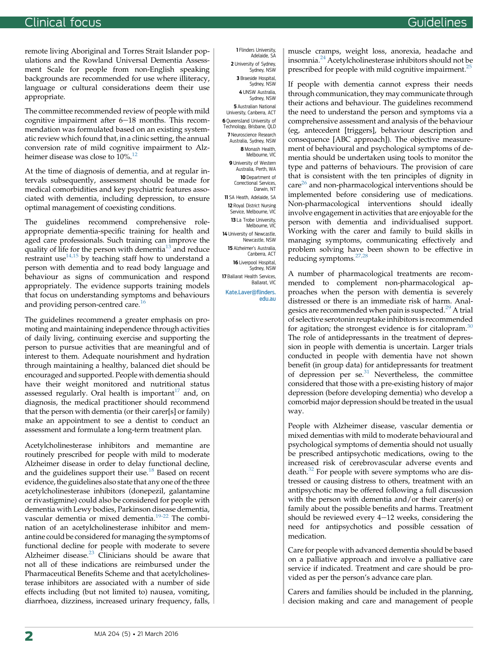<span id="page-1-0"></span>remote living Aboriginal and Torres Strait Islander populations and the Rowland Universal Dementia Assessment Scale for people from non-English speaking backgrounds are recommended for use where illiteracy, language or cultural considerations deem their use appropriate.

The committee recommended review of people with mild cognitive impairment after  $6-18$  months. This recommendation was formulated based on an existing systematic review which found that, in a clinic setting, the annual conversion rate of mild cognitive impairment to Alzheimer disease was close to  $10\%$ <sup>[12](#page-3-0)</sup>

At the time of diagnosis of dementia, and at regular intervals subsequently, assessment should be made for medical comorbidities and key psychiatric features associated with dementia, including depression, to ensure optimal management of coexisting conditions.

The guidelines recommend comprehensive roleappropriate dementia-specific training for health and aged care professionals. Such training can improve the quality of life for the person with dementia<sup>[13](#page-3-0)</sup> and reduce restraint use<sup>[14,15](#page-3-0)</sup> by teaching staff how to understand a person with dementia and to read body language and behaviour as signs of communication and respond appropriately. The evidence supports training models that focus on understanding symptoms and behaviours and providing person-centred care.<sup>[16](#page-3-0)</sup>

The guidelines recommend a greater emphasis on promoting and maintaining independence through activities of daily living, continuing exercise and supporting the person to pursue activities that are meaningful and of interest to them. Adequate nourishment and hydration through maintaining a healthy, balanced diet should be encouraged and supported. People with dementia should have their weight monitored and nutritional status assessed regularly. Oral health is important $17$  and, on diagnosis, the medical practitioner should recommend that the person with dementia (or their carer[s] or family) make an appointment to see a dentist to conduct an assessment and formulate a long-term treatment plan.

Acetylcholinesterase inhibitors and memantine are routinely prescribed for people with mild to moderate Alzheimer disease in order to delay functional decline, and the guidelines support their use.<sup>[18](#page-3-0)</sup> Based on recent evidence, the guidelines also state that any one of the three acetylcholinesterase inhibitors (donepezil, galantamine or rivastigmine) could also be considered for people with dementia with Lewy bodies, Parkinson disease dementia, vascular dementia or mixed dementia.<sup>[19-22](#page-3-0)</sup> The combination of an acetylcholinesterase inhibitor and memantine could be considered for managing the symptoms of functional decline for people with moderate to severe Alzheimer disease. $23$  Clinicians should be aware that not all of these indications are reimbursed under the Pharmaceutical Benefits Scheme and that acetylcholinesterase inhibitors are associated with a number of side effects including (but not limited to) nausea, vomiting, diarrhoea, dizziness, increased urinary frequency, falls,

1 Flinders University, Adelaide, SA 2 University of Sydney, Sydney, NSW 3 Braeside Hospital, Sydney, NSW 4 UNSW Australia, Sydney, NSW **5** Australian National University, Canberra, ACT 6 Queensland University of Technology, Brisbane. OLD 7 Neuroscience Research Australia, Sydney, NSW 8 Monash Health, Melbourne, VIC 9 University of Western Australia, Perth, WA 10 Department of Correctional Services, Darwin, NT 11 SA Heath, Adelaide, SA 12 Royal District Nursing Service, Melbourne, VIC 13 La Trobe University, Melbourne, VIC 14 University of Newcastle. Newcastle, NSW 15 Alzheimer's Australia, Canberra, ACT 16 Liverpool Hospital, Sydney, NSW 17 Ballarat Health Services, Ballarat, VIC

[Kate.Laver@](mailto:Kate.Laver@flinders.edu.au)flinders. [edu.au](mailto:Kate.Laver@flinders.edu.au) muscle cramps, weight loss, anorexia, headache and insomnia.[24](#page-3-0) Acetylcholinesterase inhibitors should not be prescribed for people with mild cognitive impairment.<sup>[25](#page-3-0)</sup>

If people with dementia cannot express their needs through communication, they may communicate through their actions and behaviour. The guidelines recommend the need to understand the person and symptoms via a comprehensive assessment and analysis of the behaviour (eg, antecedent [triggers], behaviour description and consequence [ABC approach]). The objective measurement of behavioural and psychological symptoms of dementia should be undertaken using tools to monitor the type and patterns of behaviours. The provision of care that is consistent with the ten principles of dignity in care<sup>[26](#page-3-0)</sup> and non-pharmacological interventions should be implemented before considering use of medications. Non-pharmacological interventions should ideally involve engagement in activities that are enjoyable for the person with dementia and individualised support. Working with the carer and family to build skills in managing symptoms, communicating effectively and problem solving have been shown to be effective in reducing symptoms. $27,28$ 

A number of pharmacological treatments are recommended to complement non-pharmacological approaches when the person with dementia is severely distressed or there is an immediate risk of harm. Anal-gesics are recommended when pain is suspected.<sup>[29](#page-3-0)</sup> A trial of selective serotonin reuptake inhibitors is recommended for agitation; the strongest evidence is for citalopram.<sup>[30](#page-3-0)</sup> The role of antidepressants in the treatment of depression in people with dementia is uncertain. Larger trials conducted in people with dementia have not shown benefit (in group data) for antidepressants for treatment of depression per  $se^{31}$  Nevertheless, the committee considered that those with a pre-existing history of major depression (before developing dementia) who develop a comorbid major depression should be treated in the usual way.

People with Alzheimer disease, vascular dementia or mixed dementias with mild to moderate behavioural and psychological symptoms of dementia should not usually be prescribed antipsychotic medications, owing to the increased risk of cerebrovascular adverse events and death.<sup>[32](#page-3-0)</sup> For people with severe symptoms who are distressed or causing distress to others, treatment with an antipsychotic may be offered following a full discussion with the person with dementia and/or their carer(s) or family about the possible benefits and harms. Treatment should be reviewed every  $4-12$  weeks, considering the need for antipsychotics and possible cessation of medication.

Care for people with advanced dementia should be based on a palliative approach and involve a palliative care service if indicated. Treatment and care should be provided as per the person's advance care plan.

Carers and families should be included in the planning, decision making and care and management of people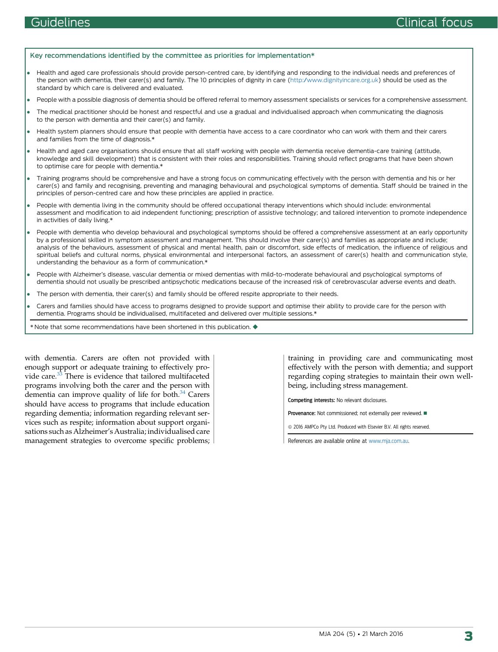#### <span id="page-2-0"></span>Key recommendations identified by the committee as priorities for implementation\*

- Health and aged care professionals should provide person-centred care, by identifying and responding to the individual needs and preferences of the person with dementia, their carer(s) and family. The 10 principles of dignity in care [\(http:/www.dignityincare.org.uk](http://www.dignityincare.org.uk)) should be used as the standard by which care is delivered and evaluated.
- People with a possible diagnosis of dementia should be offered referral to memory assessment specialists or services for a comprehensive assessment.
- The medical practitioner should be honest and respectful and use a gradual and individualised approach when communicating the diagnosis to the person with dementia and their carer(s) and family.
- Health system planners should ensure that people with dementia have access to a care coordinator who can work with them and their carers and families from the time of diagnosis.\*
- Health and aged care organisations should ensure that all staff working with people with dementia receive dementia-care training (attitude, knowledge and skill development) that is consistent with their roles and responsibilities. Training should reflect programs that have been shown to optimise care for people with dementia.\*
- Training programs should be comprehensive and have a strong focus on communicating effectively with the person with dementia and his or her carer(s) and family and recognising, preventing and managing behavioural and psychological symptoms of dementia. Staff should be trained in the principles of person-centred care and how these principles are applied in practice.
- People with dementia living in the community should be offered occupational therapy interventions which should include: environmental assessment and modification to aid independent functioning; prescription of assistive technology; and tailored intervention to promote independence in activities of daily living.\*
- People with dementia who develop behavioural and psychological symptoms should be offered a comprehensive assessment at an early opportunity by a professional skilled in symptom assessment and management. This should involve their carer(s) and families as appropriate and include; analysis of the behaviours, assessment of physical and mental health, pain or discomfort, side effects of medication, the influence of religious and spiritual beliefs and cultural norms, physical environmental and interpersonal factors, an assessment of carer(s) health and communication style, understanding the behaviour as a form of communication.\*
- People with Alzheimer's disease, vascular dementia or mixed dementias with mild-to-moderate behavioural and psychological symptoms of dementia should not usually be prescribed antipsychotic medications because of the increased risk of cerebrovascular adverse events and death.
- The person with dementia, their carer(s) and family should be offered respite appropriate to their needs.
- Carers and families should have access to programs designed to provide support and optimise their ability to provide care for the person with dementia. Programs should be individualised, multifaceted and delivered over multiple sessions.\*
- \* Note that some recommendations have been shortened in this publication.  $\bullet$

with dementia. Carers are often not provided with enough support or adequate training to effectively pro-vide care.<sup>[33](#page-4-0)</sup> There is evidence that tailored multifaceted programs involving both the carer and the person with dementia can improve quality of life for both. $34$  Carers should have access to programs that include education regarding dementia; information regarding relevant services such as respite; information about support organisations such as Alzheimer's Australia; individualised care management strategies to overcome specific problems; training in providing care and communicating most effectively with the person with dementia; and support regarding coping strategies to maintain their own wellbeing, including stress management.

Competing interests: No relevant disclosures.

**Provenance:** Not commissioned: not externally peer reviewed.  $\blacksquare$ 

 $@$  2016 AMPCo Pty Ltd. Produced with Elsevier B.V. All rights reserved.

References are available online at [www.mja.com.au](http://www.mja.com.au).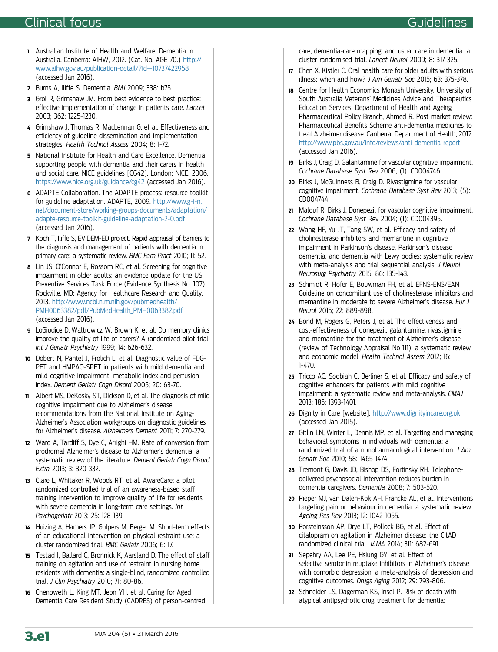## <span id="page-3-0"></span>Clinical focus Guidelines

- 1 Australian Institute of Health and Welfare. Dementia in Australia. Canberra: AIHW, 2012. (Cat. No. AGE 70.) [http://](http://www.aihw.gov.au/publication-detail/?id=10737422958) [www.aihw.gov.au/publication-detail/?id](http://www.aihw.gov.au/publication-detail/?id=10737422958)=[10737422958](http://www.aihw.gov.au/publication-detail/?id=10737422958) (accessed Jan 2016).
- 2 Burns A, Iliffe S. Dementia. BMJ 2009; 338: b75.
- 3 Grol R, Grimshaw JM. From best evidence to best practice: effective implementation of change in patients care. Lancet 2003; 362: 1225-1230.
- 4 Grimshaw J, Thomas R, MacLennan G, et al. Effectiveness and efficiency of guideline dissemination and implementation strategies. Health Technol Assess 2004; 8: 1-72.
- 5 National Institute for Health and Care Excellence. Dementia: supporting people with dementia and their carers in health and social care. NICE guidelines [CG42]. London: NICE, 2006. <https://www.nice.org.uk/guidance/cg42> (accessed Jan 2016).
- 6 ADAPTE Collaboration. The ADAPTE process: resource toolkit for guideline adaptation. ADAPTE, 2009. [http://www.g-i-n.](http://www.g-i-n.net/document-store/working-groups-documents/adaptation/adapte-resource-toolkit-guideline-adaptation-2-0.pdf) [net/document-store/working-groups-documents/adaptation/](http://www.g-i-n.net/document-store/working-groups-documents/adaptation/adapte-resource-toolkit-guideline-adaptation-2-0.pdf) [adapte-resource-toolkit-guideline-adaptation-2-0.pdf](http://www.g-i-n.net/document-store/working-groups-documents/adaptation/adapte-resource-toolkit-guideline-adaptation-2-0.pdf) (accessed Jan 2016).
- 7 Koch T, Iliffe S, EVIDEM-ED project. Rapid appraisal of barriers to the diagnosis and management of patients with dementia in primary care: a systematic review. BMC Fam Pract 2010; 11: 52.
- 8 Lin JS, O'Connor E, Rossom RC, et al. Screening for cognitive impairment in older adults: an evidence update for the US Preventive Services Task Force (Evidence Synthesis No. 107). Rockville, MD: Agency for Healthcare Research and Quality, 2013. [http://www.ncbi.nlm.nih.gov/pubmedhealth/](http://www.ncbi.nlm.nih.gov/pubmedhealth/PMH0063382/pdf/PubMedHealth_PMH0063382.pdf) [PMH0063382/pdf/PubMedHealth\\_PMH0063382.pdf](http://www.ncbi.nlm.nih.gov/pubmedhealth/PMH0063382/pdf/PubMedHealth_PMH0063382.pdf) (accessed Jan 2016).
- 9 LoGiudice D, Waltrowicz W, Brown K, et al. Do memory clinics improve the quality of life of carers? A randomized pilot trial. Int J Geriatr Psychiatry 1999; 14: 626-632.
- 10 Dobert N, Pantel J, Frolich L, et al. Diagnostic value of FDG-PET and HMPAO-SPET in patients with mild dementia and mild cognitive impairment: metabolic index and perfusion index. Dement Geriatr Cogn Disord 2005; 20: 63-70.
- 11 Albert MS, DeKosky ST, Dickson D, et al. The diagnosis of mild cognitive impairment due to Alzheimer's disease: recommendations from the National Institute on Aging-Alzheimer's Association workgroups on diagnostic guidelines for Alzheimer's disease. Alzheimers Dement 2011; 7: 270-279.
- 12 Ward A, Tardiff S, Dye C, Arrighi HM. Rate of conversion from prodromal Alzheimer's disease to Alzheimer's dementia: a systematic review of the literature. Dement Geriatr Cogn Disord Extra 2013; 3: 320-332.
- 13 Clare L, Whitaker R, Woods RT, et al. AwareCare: a pilot randomized controlled trial of an awareness-based staff training intervention to improve quality of life for residents with severe dementia in long-term care settings. Int Psychogeriatr 2013; 25: 128-139.
- 14 Huizing A, Hamers JP, Gulpers M, Berger M. Short-term effects of an educational intervention on physical restraint use: a cluster randomized trial. BMC Geriatr 2006; 6: 17.
- 15 Testad I, Ballard C, Bronnick K, Aarsland D. The effect of staff training on agitation and use of restraint in nursing home residents with dementia: a single-blind, randomized controlled trial. J Clin Psychiatry 2010; 71: 80-86.
- 16 Chenoweth L, King MT, Jeon YH, et al. Caring for Aged Dementia Care Resident Study (CADRES) of person-centred

care, dementia-care mapping, and usual care in dementia: a cluster-randomised trial. Lancet Neurol 2009; 8: 317-325.

- 17 Chen X, Kistler C, Oral health care for older adults with serious illness: when and how? J Am Geriatr Soc 2015; 63: 375-378.
- 18 Centre for Health Economics Monash University, University of South Australia Veterans' Medicines Advice and Therapeutics Education Services, Department of Health and Ageing Pharmaceutical Policy Branch, Ahmed R. Post market review: Pharmaceutical Benefits Scheme anti-dementia medicines to treat Alzheimer disease. Canberra: Department of Health, 2012. <http://www.pbs.gov.au/info/reviews/anti-dementia-report> (accessed Jan 2016).
- 19 Birks J, Craig D. Galantamine for vascular cognitive impairment. Cochrane Database Syst Rev 2006; (1): CD004746.
- 20 Birks J, McGuinness B, Craig D. Rivastigmine for vascular cognitive impairment. Cochrane Database Syst Rev 2013; (5): CD004744.
- 21 Malouf R, Birks J. Donepezil for vascular cognitive impairment. Cochrane Database Syst Rev 2004; (1): CD004395.
- <sup>22</sup> Wang HF, Yu JT, Tang SW, et al. Efficacy and safety of cholinesterase inhibitors and memantine in cognitive impairment in Parkinson's disease, Parkinson's disease dementia, and dementia with Lewy bodies: systematic review with meta-analysis and trial sequential analysis. J Neurol Neurosurg Psychiatry 2015; 86: 135-143.
- 23 Schmidt R, Hofer E, Bouwman FH, et al. EFNS-ENS/EAN Guideline on concomitant use of cholinesterase inhibitors and memantine in moderate to severe Alzheimer's disease. Eur J Neurol 2015; 22: 889-898.
- 24 Bond M, Rogers G, Peters J, et al. The effectiveness and cost-effectiveness of donepezil, galantamine, rivastigmine and memantine for the treatment of Alzheimer's disease (review of Technology Appraisal No 111): a systematic review and economic model. Health Technol Assess 2012; 16: 1-470.
- <sup>25</sup> Tricco AC, Soobiah C, Berliner S, et al. Efficacy and safety of cognitive enhancers for patients with mild cognitive impairment: a systematic review and meta-analysis. CMAJ 2013; 185: 1393-1401.
- 26 Dignity in Care [website]. <http://www.dignityincare.org.uk> (accessed Jan 2015).
- 27 Gitlin LN, Winter L, Dennis MP, et al. Targeting and managing behavioral symptoms in individuals with dementia: a randomized trial of a nonpharmacological intervention. J Am Geriatr Soc 2010; 58: 1465-1474.
- 28 Tremont G, Davis JD, Bishop DS, Fortinsky RH. Telephonedelivered psychosocial intervention reduces burden in dementia caregivers. Dementia 2008; 7: 503-520.
- 29 Pieper MJ, van Dalen-Kok AH, Francke AL, et al. Interventions targeting pain or behaviour in dementia: a systematic review. Ageing Res Rev 2013; 12: 1042-1055.
- 30 Porsteinsson AP, Drye LT, Pollock BG, et al. Effect of citalopram on agitation in Alzheimer disease: the CitAD randomized clinical trial. JAMA 2014; 311: 682-691.
- 31 Sepehry AA, Lee PE, Hsiung GY, et al. Effect of selective serotonin reuptake inhibitors in Alzheimer's disease with comorbid depression: a meta-analysis of depression and cognitive outcomes. Drugs Aging 2012; 29: 793-806.
- 32 Schneider LS, Dagerman KS, Insel P. Risk of death with atypical antipsychotic drug treatment for dementia: